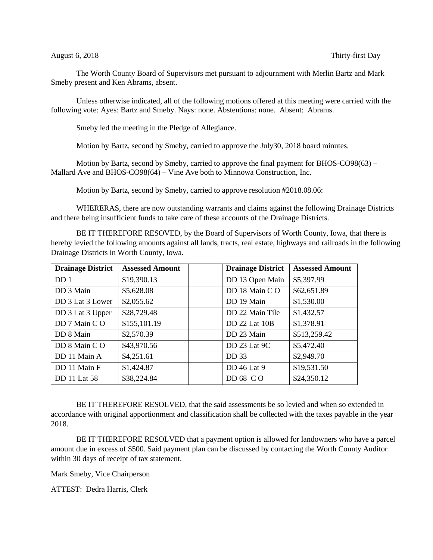The Worth County Board of Supervisors met pursuant to adjournment with Merlin Bartz and Mark Smeby present and Ken Abrams, absent.

Unless otherwise indicated, all of the following motions offered at this meeting were carried with the following vote: Ayes: Bartz and Smeby. Nays: none. Abstentions: none. Absent: Abrams.

Smeby led the meeting in the Pledge of Allegiance.

Motion by Bartz, second by Smeby, carried to approve the July30, 2018 board minutes.

Motion by Bartz, second by Smeby, carried to approve the final payment for BHOS-CO98(63) – Mallard Ave and BHOS-CO98(64) – Vine Ave both to Minnowa Construction, Inc.

Motion by Bartz, second by Smeby, carried to approve resolution #2018.08.06:

WHERERAS, there are now outstanding warrants and claims against the following Drainage Districts and there being insufficient funds to take care of these accounts of the Drainage Districts.

BE IT THEREFORE RESOVED, by the Board of Supervisors of Worth County, Iowa, that there is hereby levied the following amounts against all lands, tracts, real estate, highways and railroads in the following Drainage Districts in Worth County, Iowa.

| <b>Drainage District</b> | <b>Assessed Amount</b> | <b>Drainage District</b> | <b>Assessed Amount</b> |
|--------------------------|------------------------|--------------------------|------------------------|
| DD <sub>1</sub>          | \$19,390.13            | DD 13 Open Main          | \$5,397.99             |
| DD 3 Main                | \$5,628.08             | DD 18 Main CO            | \$62,651.89            |
| DD 3 Lat 3 Lower         | \$2,055.62             | DD 19 Main               | \$1,530.00             |
| DD 3 Lat 3 Upper         | \$28,729.48            | DD 22 Main Tile          | \$1,432.57             |
| DD 7 Main CO             | \$155,101.19           | DD 22 Lat 10B            | \$1,378.91             |
| DD 8 Main                | \$2,570.39             | DD 23 Main               | \$513,259.42           |
| DD 8 Main CO             | \$43,970.56            | DD 23 Lat 9C             | \$5,472.40             |
| DD 11 Main A             | \$4,251.61             | DD 33                    | \$2,949.70             |
| DD 11 Main F             | \$1,424.87             | DD 46 Lat 9              | \$19,531.50            |
| <b>DD</b> 11 Lat 58      | \$38,224.84            | DD 68 CO                 | \$24,350.12            |

BE IT THEREFORE RESOLVED, that the said assessments be so levied and when so extended in accordance with original apportionment and classification shall be collected with the taxes payable in the year 2018.

BE IT THEREFORE RESOLVED that a payment option is allowed for landowners who have a parcel amount due in excess of \$500. Said payment plan can be discussed by contacting the Worth County Auditor within 30 days of receipt of tax statement.

Mark Smeby, Vice Chairperson

ATTEST: Dedra Harris, Clerk